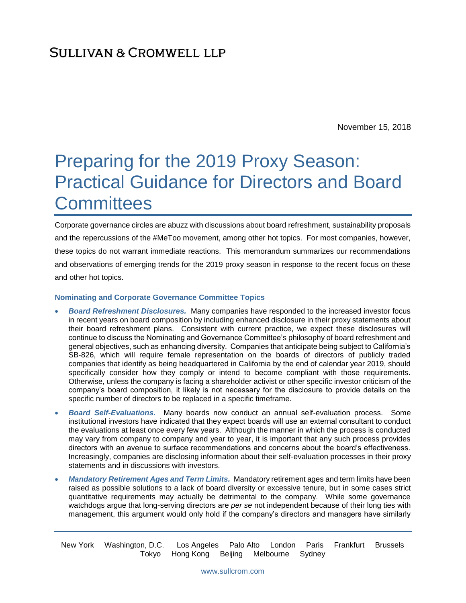November 15, 2018

# Preparing for the 2019 Proxy Season: Practical Guidance for Directors and Board **Committees**

Corporate governance circles are abuzz with discussions about board refreshment, sustainability proposals and the repercussions of the #MeToo movement, among other hot topics. For most companies, however, these topics do not warrant immediate reactions. This memorandum summarizes our recommendations and observations of emerging trends for the 2019 proxy season in response to the recent focus on these and other hot topics.

#### **Nominating and Corporate Governance Committee Topics**

- *Board Refreshment Disclosures.* Many companies have responded to the increased investor focus in recent years on board composition by including enhanced disclosure in their proxy statements about their board refreshment plans. Consistent with current practice, we expect these disclosures will continue to discuss the Nominating and Governance Committee's philosophy of board refreshment and general objectives, such as enhancing diversity. Companies that anticipate being subject to California's SB-826, which will require female representation on the boards of directors of publicly traded companies that identify as being headquartered in California by the end of calendar year 2019, should specifically consider how they comply or intend to become compliant with those requirements. Otherwise, unless the company is facing a shareholder activist or other specific investor criticism of the company's board composition, it likely is not necessary for the disclosure to provide details on the specific number of directors to be replaced in a specific timeframe.
- *Board Self-Evaluations.* Many boards now conduct an annual self-evaluation process. Some institutional investors have indicated that they expect boards will use an external consultant to conduct the evaluations at least once every few years. Although the manner in which the process is conducted may vary from company to company and year to year, it is important that any such process provides directors with an avenue to surface recommendations and concerns about the board's effectiveness. Increasingly, companies are disclosing information about their self-evaluation processes in their proxy statements and in discussions with investors.
- *Mandatory Retirement Ages and Term Limits.* Mandatory retirement ages and term limits have been raised as possible solutions to a lack of board diversity or excessive tenure, but in some cases strict quantitative requirements may actually be detrimental to the company. While some governance watchdogs argue that long-serving directors are *per se* not independent because of their long ties with management, this argument would only hold if the company's directors and managers have similarly

New York Washington, D.C. Los Angeles Palo Alto London Paris Frankfurt Brussels Tokyo Hong Kong Beijing Melbourne Sydney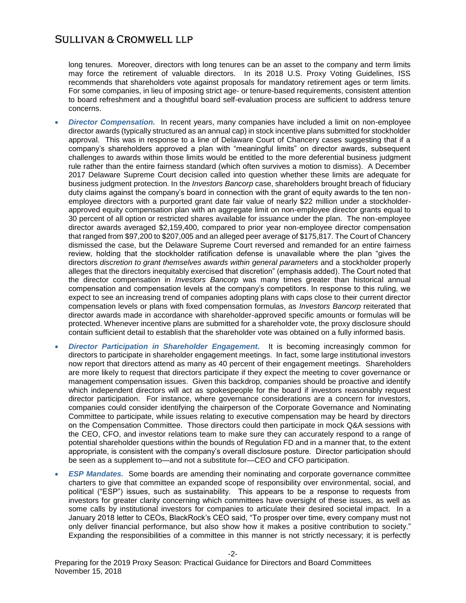long tenures. Moreover, directors with long tenures can be an asset to the company and term limits may force the retirement of valuable directors. In its 2018 U.S. Proxy Voting Guidelines, ISS recommends that shareholders vote against proposals for mandatory retirement ages or term limits. For some companies, in lieu of imposing strict age- or tenure-based requirements, consistent attention to board refreshment and a thoughtful board self-evaluation process are sufficient to address tenure concerns.

- *Director Compensation.* In recent years, many companies have included a limit on non-employee director awards (typically structured as an annual cap) in stock incentive plans submitted for stockholder approval. This was in response to a line of Delaware Court of Chancery cases suggesting that if a company's shareholders approved a plan with "meaningful limits" on director awards, subsequent challenges to awards within those limits would be entitled to the more deferential business judgment rule rather than the entire fairness standard (which often survives a motion to dismiss). A December 2017 Delaware Supreme Court decision called into question whether these limits are adequate for business judgment protection. In the *Investors Bancorp* case, shareholders brought breach of fiduciary duty claims against the company's board in connection with the grant of equity awards to the ten nonemployee directors with a purported grant date fair value of nearly \$22 million under a stockholderapproved equity compensation plan with an aggregate limit on non-employee director grants equal to 30 percent of all option or restricted shares available for issuance under the plan. The non-employee director awards averaged \$2,159,400, compared to prior year non-employee director compensation that ranged from \$97,200 to \$207,005 and an alleged peer average of \$175,817. The Court of Chancery dismissed the case, but the Delaware Supreme Court reversed and remanded for an entire fairness review, holding that the stockholder ratification defense is unavailable where the plan "gives the directors *discretion to grant themselves awards within general parameters* and a stockholder properly alleges that the directors inequitably exercised that discretion" (emphasis added). The Court noted that the director compensation in *Investors Bancorp* was many times greater than historical annual compensation and compensation levels at the company's competitors. In response to this ruling, we expect to see an increasing trend of companies adopting plans with caps close to their current director compensation levels or plans with fixed compensation formulas, as *Investors Bancorp* reiterated that director awards made in accordance with shareholder-approved specific amounts or formulas will be protected. Whenever incentive plans are submitted for a shareholder vote, the proxy disclosure should contain sufficient detail to establish that the shareholder vote was obtained on a fully informed basis.
- *Director Participation in Shareholder Engagement.* It is becoming increasingly common for directors to participate in shareholder engagement meetings. In fact, some large institutional investors now report that directors attend as many as 40 percent of their engagement meetings. Shareholders are more likely to request that directors participate if they expect the meeting to cover governance or management compensation issues. Given this backdrop, companies should be proactive and identify which independent directors will act as spokespeople for the board if investors reasonably request director participation. For instance, where governance considerations are a concern for investors, companies could consider identifying the chairperson of the Corporate Governance and Nominating Committee to participate, while issues relating to executive compensation may be heard by directors on the Compensation Committee. Those directors could then participate in mock Q&A sessions with the CEO, CFO, and investor relations team to make sure they can accurately respond to a range of potential shareholder questions within the bounds of Regulation FD and in a manner that, to the extent appropriate, is consistent with the company's overall disclosure posture. Director participation should be seen as a supplement to—and not a substitute for—CEO and CFO participation.
- *ESP Mandates.* Some boards are amending their nominating and corporate governance committee charters to give that committee an expanded scope of responsibility over environmental, social, and political ("ESP") issues, such as sustainability. This appears to be a response to requests from investors for greater clarity concerning which committees have oversight of these issues, as well as some calls by institutional investors for companies to articulate their desired societal impact. In a January 2018 letter to CEOs, BlackRock's CEO said, "To prosper over time, every company must not only deliver financial performance, but also show how it makes a positive contribution to society." Expanding the responsibilities of a committee in this manner is not strictly necessary; it is perfectly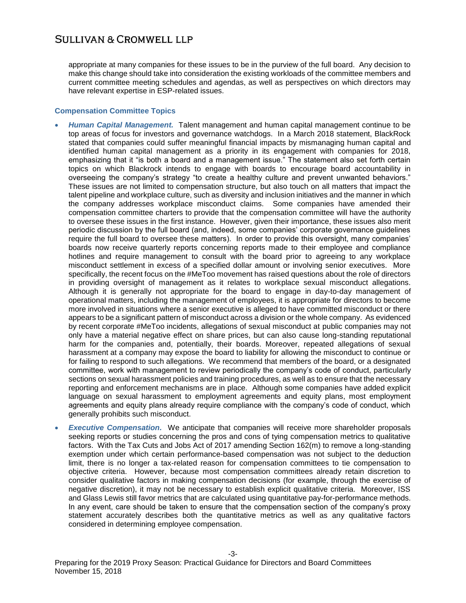appropriate at many companies for these issues to be in the purview of the full board. Any decision to make this change should take into consideration the existing workloads of the committee members and current committee meeting schedules and agendas, as well as perspectives on which directors may have relevant expertise in ESP-related issues.

#### **Compensation Committee Topics**

- *Human Capital Management.* Talent management and human capital management continue to be top areas of focus for investors and governance watchdogs. In a March 2018 statement, BlackRock stated that companies could suffer meaningful financial impacts by mismanaging human capital and identified human capital management as a priority in its engagement with companies for 2018, emphasizing that it "is both a board and a management issue." The statement also set forth certain topics on which Blackrock intends to engage with boards to encourage board accountability in overseeing the company's strategy "to create a healthy culture and prevent unwanted behaviors." These issues are not limited to compensation structure, but also touch on all matters that impact the talent pipeline and workplace culture, such as diversity and inclusion initiatives and the manner in which the company addresses workplace misconduct claims. Some companies have amended their compensation committee charters to provide that the compensation committee will have the authority to oversee these issues in the first instance. However, given their importance, these issues also merit periodic discussion by the full board (and, indeed, some companies' corporate governance guidelines require the full board to oversee these matters). In order to provide this oversight, many companies' boards now receive quarterly reports concerning reports made to their employee and compliance hotlines and require management to consult with the board prior to agreeing to any workplace misconduct settlement in excess of a specified dollar amount or involving senior executives. More specifically, the recent focus on the #MeToo movement has raised questions about the role of directors in providing oversight of management as it relates to workplace sexual misconduct allegations. Although it is generally not appropriate for the board to engage in day-to-day management of operational matters, including the management of employees, it is appropriate for directors to become more involved in situations where a senior executive is alleged to have committed misconduct or there appears to be a significant pattern of misconduct across a division or the whole company. As evidenced by recent corporate #MeToo incidents, allegations of sexual misconduct at public companies may not only have a material negative effect on share prices, but can also cause long-standing reputational harm for the companies and, potentially, their boards. Moreover, repeated allegations of sexual harassment at a company may expose the board to liability for allowing the misconduct to continue or for failing to respond to such allegations. We recommend that members of the board, or a designated committee, work with management to review periodically the company's code of conduct, particularly sections on sexual harassment policies and training procedures, as well as to ensure that the necessary reporting and enforcement mechanisms are in place. Although some companies have added explicit language on sexual harassment to employment agreements and equity plans, most employment agreements and equity plans already require compliance with the company's code of conduct, which generally prohibits such misconduct.
- *Executive Compensation.* We anticipate that companies will receive more shareholder proposals seeking reports or studies concerning the pros and cons of tying compensation metrics to qualitative factors. With the Tax Cuts and Jobs Act of 2017 amending Section 162(m) to remove a long-standing exemption under which certain performance-based compensation was not subject to the deduction limit, there is no longer a tax-related reason for compensation committees to tie compensation to objective criteria. However, because most compensation committees already retain discretion to consider qualitative factors in making compensation decisions (for example, through the exercise of negative discretion), it may not be necessary to establish explicit qualitative criteria. Moreover, ISS and Glass Lewis still favor metrics that are calculated using quantitative pay-for-performance methods. In any event, care should be taken to ensure that the compensation section of the company's proxy statement accurately describes both the quantitative metrics as well as any qualitative factors considered in determining employee compensation.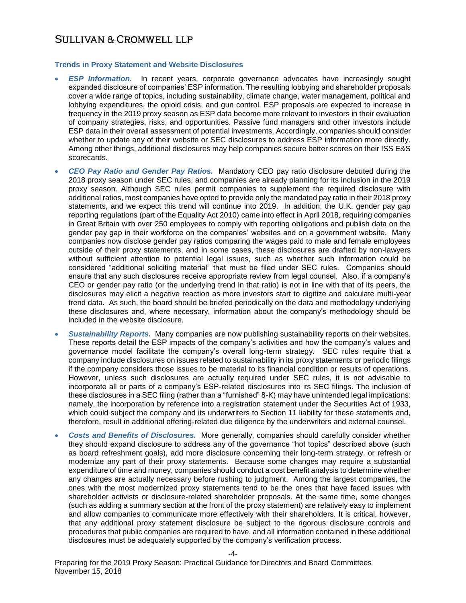#### **Trends in Proxy Statement and Website Disclosures**

- *ESP Information.* In recent years, corporate governance advocates have increasingly sought expanded disclosure of companies' ESP information. The resulting lobbying and shareholder proposals cover a wide range of topics, including sustainability, climate change, water management, political and lobbying expenditures, the opioid crisis, and gun control. ESP proposals are expected to increase in frequency in the 2019 proxy season as ESP data become more relevant to investors in their evaluation of company strategies, risks, and opportunities. Passive fund managers and other investors include ESP data in their overall assessment of potential investments. Accordingly, companies should consider whether to update any of their website or SEC disclosures to address ESP information more directly. Among other things, additional disclosures may help companies secure better scores on their ISS E&S scorecards.
- *CEO Pay Ratio and Gender Pay Ratios.* Mandatory CEO pay ratio disclosure debuted during the 2018 proxy season under SEC rules, and companies are already planning for its inclusion in the 2019 proxy season. Although SEC rules permit companies to supplement the required disclosure with additional ratios, most companies have opted to provide only the mandated pay ratio in their 2018 proxy statements, and we expect this trend will continue into 2019. In addition, the U.K. gender pay gap reporting regulations (part of the Equality Act 2010) came into effect in April 2018, requiring companies in Great Britain with over 250 employees to comply with reporting obligations and publish data on the gender pay gap in their workforce on the companies' websites and on a government website. Many companies now disclose gender pay ratios comparing the wages paid to male and female employees outside of their proxy statements, and in some cases, these disclosures are drafted by non-lawyers without sufficient attention to potential legal issues, such as whether such information could be considered "additional soliciting material" that must be filed under SEC rules. Companies should ensure that any such disclosures receive appropriate review from legal counsel. Also, if a company's CEO or gender pay ratio (or the underlying trend in that ratio) is not in line with that of its peers, the disclosures may elicit a negative reaction as more investors start to digitize and calculate multi-year trend data. As such, the board should be briefed periodically on the data and methodology underlying these disclosures and, where necessary, information about the company's methodology should be included in the website disclosure.
- *Sustainability Reports.* Many companies are now publishing sustainability reports on their websites. These reports detail the ESP impacts of the company's activities and how the company's values and governance model facilitate the company's overall long-term strategy. SEC rules require that a company include disclosures on issues related to sustainability in its proxy statements or periodic filings if the company considers those issues to be material to its financial condition or results of operations. However, unless such disclosures are actually required under SEC rules, it is not advisable to incorporate all or parts of a company's ESP-related disclosures into its SEC filings. The inclusion of these disclosures in a SEC filing (rather than a "furnished" 8-K) may have unintended legal implications: namely, the incorporation by reference into a registration statement under the Securities Act of 1933, which could subject the company and its underwriters to Section 11 liability for these statements and, therefore, result in additional offering-related due diligence by the underwriters and external counsel.
- *Costs and Benefits of Disclosures.* More generally, companies should carefully consider whether they should expand disclosure to address any of the governance "hot topics" described above (such as board refreshment goals), add more disclosure concerning their long-term strategy, or refresh or modernize any part of their proxy statements. Because some changes may require a substantial expenditure of time and money, companies should conduct a cost benefit analysis to determine whether any changes are actually necessary before rushing to judgment. Among the largest companies, the ones with the most modernized proxy statements tend to be the ones that have faced issues with shareholder activists or disclosure-related shareholder proposals. At the same time, some changes (such as adding a summary section at the front of the proxy statement) are relatively easy to implement and allow companies to communicate more effectively with their shareholders. It is critical, however, that any additional proxy statement disclosure be subject to the rigorous disclosure controls and procedures that public companies are required to have, and all information contained in these additional disclosures must be adequately supported by the company's verification process.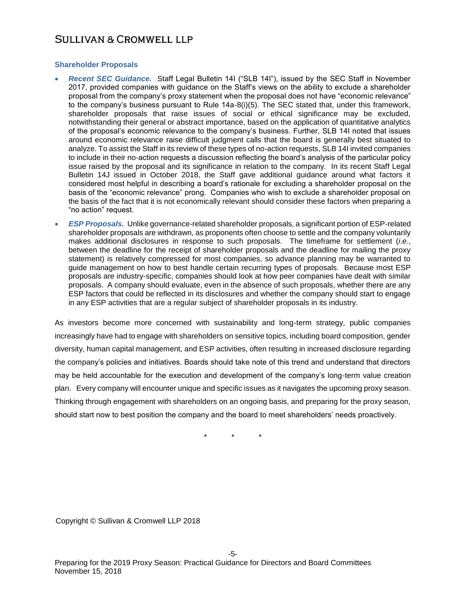## **Shareholder Proposals**

- *Recent SEC Guidance.* Staff Legal Bulletin 14I ("SLB 14I"), issued by the SEC Staff in November 2017, provided companies with guidance on the Staff's views on the ability to exclude a shareholder proposal from the company's proxy statement when the proposal does not have "economic relevance" to the company's business pursuant to Rule 14a-8(i)(5). The SEC stated that, under this framework, shareholder proposals that raise issues of social or ethical significance may be excluded, notwithstanding their general or abstract importance, based on the application of quantitative analytics of the proposal's economic relevance to the company's business. Further, SLB 14I noted that issues around economic relevance raise difficult judgment calls that the board is generally best situated to analyze. To assist the Staff in its review of these types of no-action requests, SLB 14I invited companies to include in their no-action requests a discussion reflecting the board's analysis of the particular policy issue raised by the proposal and its significance in relation to the company. In its recent Staff Legal Bulletin 14J issued in October 2018, the Staff gave additional guidance around what factors it considered most helpful in describing a board's rationale for excluding a shareholder proposal on the basis of the "economic relevance" prong. Companies who wish to exclude a shareholder proposal on the basis of the fact that it is not economically relevant should consider these factors when preparing a "no action" request.
- *ESP Proposals.* Unlike governance-related shareholder proposals, a significant portion of ESP-related shareholder proposals are withdrawn, as proponents often choose to settle and the company voluntarily makes additional disclosures in response to such proposals. The timeframe for settlement (*i*.*e*., between the deadline for the receipt of shareholder proposals and the deadline for mailing the proxy statement) is relatively compressed for most companies, so advance planning may be warranted to guide management on how to best handle certain recurring types of proposals. Because most ESP proposals are industry-specific, companies should look at how peer companies have dealt with similar proposals. A company should evaluate, even in the absence of such proposals, whether there are any ESP factors that could be reflected in its disclosures and whether the company should start to engage in any ESP activities that are a regular subject of shareholder proposals in its industry.

As investors become more concerned with sustainability and long-term strategy, public companies increasingly have had to engage with shareholders on sensitive topics, including board composition, gender diversity, human capital management, and ESP activities, often resulting in increased disclosure regarding the company's policies and initiatives. Boards should take note of this trend and understand that directors may be held accountable for the execution and development of the company's long-term value creation plan. Every company will encounter unique and specific issues as it navigates the upcoming proxy season. Thinking through engagement with shareholders on an ongoing basis, and preparing for the proxy season, should start now to best position the company and the board to meet shareholders' needs proactively.

\* \* \*

Copyright © Sullivan & Cromwell LLP 2018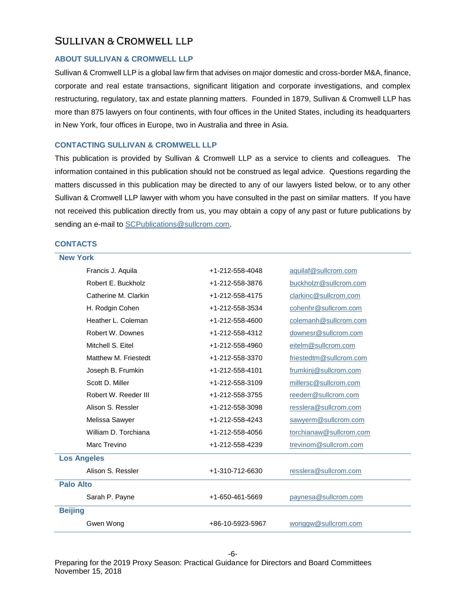### **ABOUT SULLIVAN & CROMWELL LLP**

Sullivan & Cromwell LLP is a global law firm that advises on major domestic and cross-border M&A, finance, corporate and real estate transactions, significant litigation and corporate investigations, and complex restructuring, regulatory, tax and estate planning matters. Founded in 1879, Sullivan & Cromwell LLP has more than 875 lawyers on four continents, with four offices in the United States, including its headquarters in New York, four offices in Europe, two in Australia and three in Asia.

#### **CONTACTING SULLIVAN & CROMWELL LLP**

This publication is provided by Sullivan & Cromwell LLP as a service to clients and colleagues. The information contained in this publication should not be construed as legal advice. Questions regarding the matters discussed in this publication may be directed to any of our lawyers listed below, or to any other Sullivan & Cromwell LLP lawyer with whom you have consulted in the past on similar matters. If you have not received this publication directly from us, you may obtain a copy of any past or future publications by sending an e-mail to [SCPublications@sullcrom.com.](mailto:SCPublications@sullcrom.com)

## **CONTACTS**

| <b>New York</b>      |                  |                         |  |  |
|----------------------|------------------|-------------------------|--|--|
| Francis J. Aquila    | +1-212-558-4048  | aquilaf@sullcrom.com    |  |  |
| Robert E. Buckholz   | +1-212-558-3876  | buckholzr@sullcrom.com  |  |  |
| Catherine M. Clarkin | +1-212-558-4175  | clarkinc@sullcrom.com   |  |  |
| H. Rodgin Cohen      | +1-212-558-3534  | cohenhr@sullcrom.com    |  |  |
| Heather L. Coleman   | +1-212-558-4600  | colemanh@sullcrom.com   |  |  |
| Robert W. Downes     | +1-212-558-4312  | downesr@sullcrom.com    |  |  |
| Mitchell S. Eitel    | +1-212-558-4960  | eitelm@sullcrom.com     |  |  |
| Matthew M. Friestedt | +1-212-558-3370  | friestedtm@sullcrom.com |  |  |
| Joseph B. Frumkin    | +1-212-558-4101  | frumkinj@sullcrom.com   |  |  |
| Scott D. Miller      | +1-212-558-3109  | millersc@sullcrom.com   |  |  |
| Robert W. Reeder III | +1-212-558-3755  | reederr@sullcrom.com    |  |  |
| Alison S. Ressler    | +1-212-558-3098  | resslera@sullcrom.com   |  |  |
| Melissa Sawyer       | +1-212-558-4243  | sawyerm@sullcrom.com    |  |  |
| William D. Torchiana | +1-212-558-4056  | torchianaw@sullcrom.com |  |  |
| Marc Trevino         | +1-212-558-4239  | trevinom@sullcrom.com   |  |  |
| <b>Los Angeles</b>   |                  |                         |  |  |
| Alison S. Ressler    | +1-310-712-6630  | resslera@sullcrom.com   |  |  |
| <b>Palo Alto</b>     |                  |                         |  |  |
| Sarah P. Payne       | +1-650-461-5669  | paynesa@sullcrom.com    |  |  |
| <b>Beijing</b>       |                  |                         |  |  |
| Gwen Wong            | +86-10-5923-5967 | wonggw@sullcrom.com     |  |  |